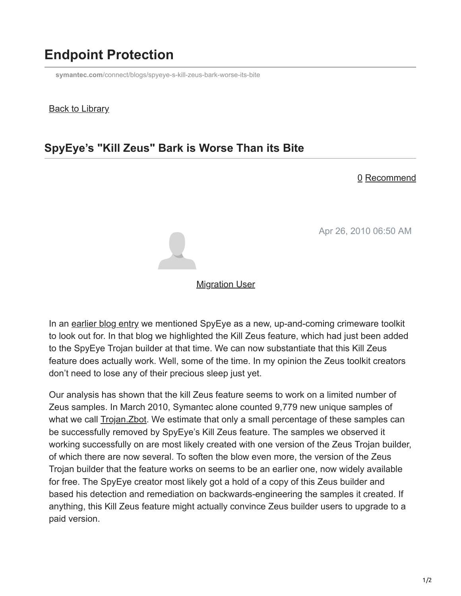# **Endpoint Protection**

**symantec.com**[/connect/blogs/spyeye-s-kill-zeus-bark-worse-its-bite](https://www.symantec.com/connect/blogs/spyeye-s-kill-zeus-bark-worse-its-bite)

### **Back to Library**

### **SpyEye's "Kill Zeus" Bark is Worse Than its Bite**

#### 0 Recommend

Apr 26, 2010 06:50 AM



#### **[Migration User](https://community.broadcom.com/symantecenterprise/network/members/profile?UserKey=909a8e41-f1e7-45af-914a-628128e3819f)**

In an [earlier blog entry](https://community.broadcom.com/symantecenterprise/viewdocument?DocumentKey=6aa65e05-2a44-4dd3-be3d-6dbb06cc94ad&CommunityKey=1ecf5f55-9545-44d6-b0f4-4e4a7f5f5e68&tab=librarydocuments) we mentioned SpyEye as a new, up-and-coming crimeware toolkit to look out for. In that blog we highlighted the Kill Zeus feature, which had just been added to the SpyEye Trojan builder at that time. We can now substantiate that this Kill Zeus feature does actually work. Well, some of the time. In my opinion the Zeus toolkit creators don't need to lose any of their precious sleep just yet.

Our analysis has shown that the kill Zeus feature seems to work on a limited number of Zeus samples. In March 2010, Symantec alone counted 9,779 new unique samples of what we call **[Trojan.Zbot](http://www.symantec.com/security_response/writeup.jsp?docid=2010-011016-3514-99).** We estimate that only a small percentage of these samples can be successfully removed by SpyEye's Kill Zeus feature. The samples we observed it working successfully on are most likely created with one version of the Zeus Trojan builder, of which there are now several. To soften the blow even more, the version of the Zeus Trojan builder that the feature works on seems to be an earlier one, now widely available for free. The SpyEye creator most likely got a hold of a copy of this Zeus builder and based his detection and remediation on backwards-engineering the samples it created. If anything, this Kill Zeus feature might actually convince Zeus builder users to upgrade to a paid version.